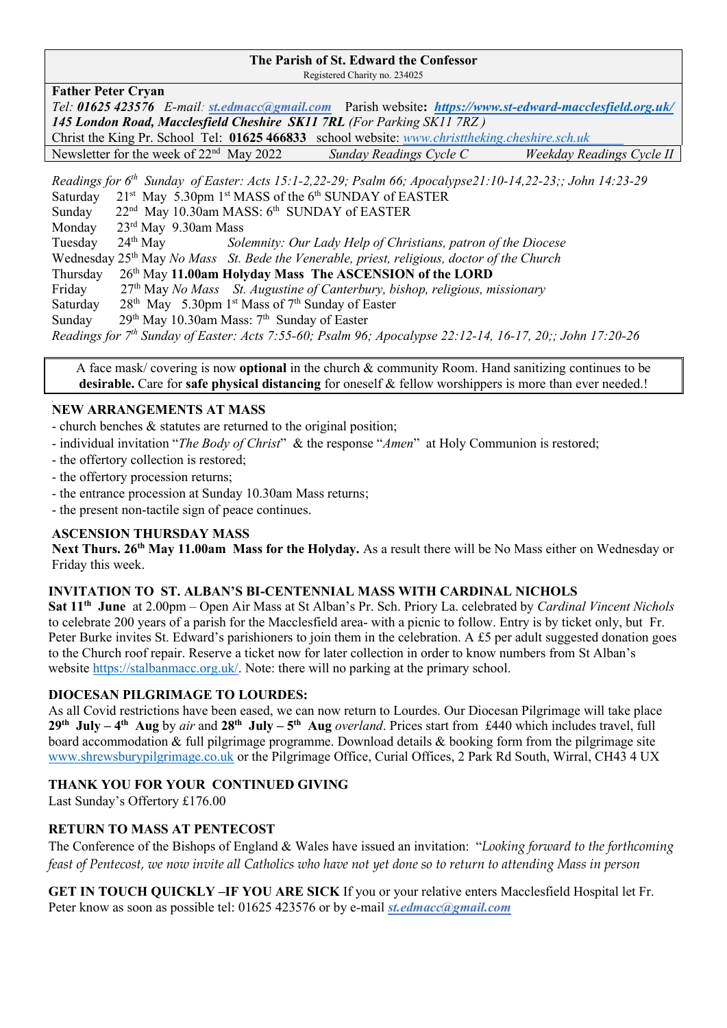### **The Parish of St. Edward the Confessor**

Registered Charity no. 234025

| <b>Father Peter Cryan</b> |  |  |
|---------------------------|--|--|
|---------------------------|--|--|

*Tel: 01625 423576 E-mail: [st.edmacc@gmail.com](mailto:st.edmacc@gmail.com)* Parish website**:***<https://www.st-edward-macclesfield.org.uk/> 145 London Road, Macclesfield Cheshire SK11 7RL (For Parking SK11 7RZ )* Christ the King Pr. School Tel: **01625 466833** school website: *www.christtheking.cheshire.sch.uk*  Newsletter for the week of 22nd May 2022 *Sunday Readings Cycle C Weekday Readings Cycle II* 

*Readings for 6 th Sunday of Easter: Acts 15:1-2,22-29; Psalm 66; Apocalypse21:10-14,22-23;; John 14:23-29* Saturday 21<sup>st</sup> May 5.30pm 1<sup>st</sup> MASS of the 6<sup>th</sup> SUNDAY of EASTER Sunday 22<sup>nd</sup> May 10.30am MASS: 6<sup>th</sup> SUNDAY of EASTER Monday 23rd May 9.30am Mass Tuesday 24th May *Solemnity: Our Lady Help of Christians, patron of the Diocese* Wednesday 25th May *No Mass St. Bede the Venerable, priest, religious, doctor of the Church* Thursday 26th May **11.00am Holyday Mass The ASCENSION of the LORD** Friday th May *No Mass St. Augustine of Canterbury, bishop, religious, missionary* Saturday 28<sup>th</sup> May 5.30pm 1<sup>st</sup> Mass of 7<sup>th</sup> Sunday of Easter Sunday <sup>th</sup> May 10.30am Mass: 7<sup>th</sup> Sunday of Easter *Readings for 7 th Sunday of Easter: Acts 7:55-60; Psalm 96; Apocalypse 22:12-14, 16-17, 20;; John 17:20-26*

A face mask/ covering is now **optional** in the church & community Room. Hand sanitizing continues to be **desirable.** Care for **safe physical distancing** for oneself & fellow worshippers is more than ever needed.!

#### ֺ֝ **NEW ARRANGEMENTS AT MASS**

- church benches & statutes are returned to the original position;
- individual invitation "*The Body of Christ*" & the response "*Amen*" at Holy Communion is restored;
- the offertory collection is restored;
- the offertory procession returns;
- the entrance procession at Sunday 10.30am Mass returns;
- the present non-tactile sign of peace continues.

### **ASCENSION THURSDAY MASS**

**Next Thurs. 26th May 11.00am Mass for the Holyday.** As a result there will be No Mass either on Wednesday or Friday this week.

### **INVITATION TO ST. ALBAN'S BI-CENTENNIAL MASS WITH CARDINAL NICHOLS**

**Sat 11th June** at 2.00pm – Open Air Mass at St Alban's Pr. Sch. Priory La. celebrated by *Cardinal Vincent Nichols* to celebrate 200 years of a parish for the Macclesfield area- with a picnic to follow. Entry is by ticket only, but Fr. Peter Burke invites St. Edward's parishioners to join them in the celebration. A £5 per adult suggested donation goes to the Church roof repair. Reserve a ticket now for later collection in order to know numbers from St Alban's website [https://stalbanmacc.org.uk/.](https://stalbanmacc.org.uk/) Note: there will no parking at the primary school.

#### **DIOCESAN PILGRIMAGE TO LOURDES:**

As all Covid restrictions have been eased, we can now return to Lourdes. Our Diocesan Pilgrimage will take place  $29<sup>th</sup>$  July - 4<sup>th</sup> Aug by air and  $28<sup>th</sup>$  July -  $5<sup>th</sup>$  Aug overland. Prices start from £440 which includes travel, full board accommodation & full pilgrimage programme. Download details & booking form from the pilgrimage site [www.shrewsburypilgrimage.co.uk](http://www.shrewsburypilgrimage.co.uk/) or the Pilgrimage Office, Curial Offices, 2 Park Rd South, Wirral, CH43 4 UX

### **THANK YOU FOR YOUR CONTINUED GIVING**

Last Sunday's Offertory £176.00

### **RETURN TO MASS AT PENTECOST**

The Conference of the Bishops of England & Wales have issued an invitation: "*Looking forward to the forthcoming feast of Pentecost, we now invite all Catholics who have not yet done so to return to attending Mass in person*

**GET IN TOUCH QUICKLY –IF YOU ARE SICK** If you or your relative enters Macclesfield Hospital let Fr. Peter know as soon as possible tel: 01625 423576 or by e-mail *[st.edmacc@gmail.com](mailto:st.edmacc@gmail.com)*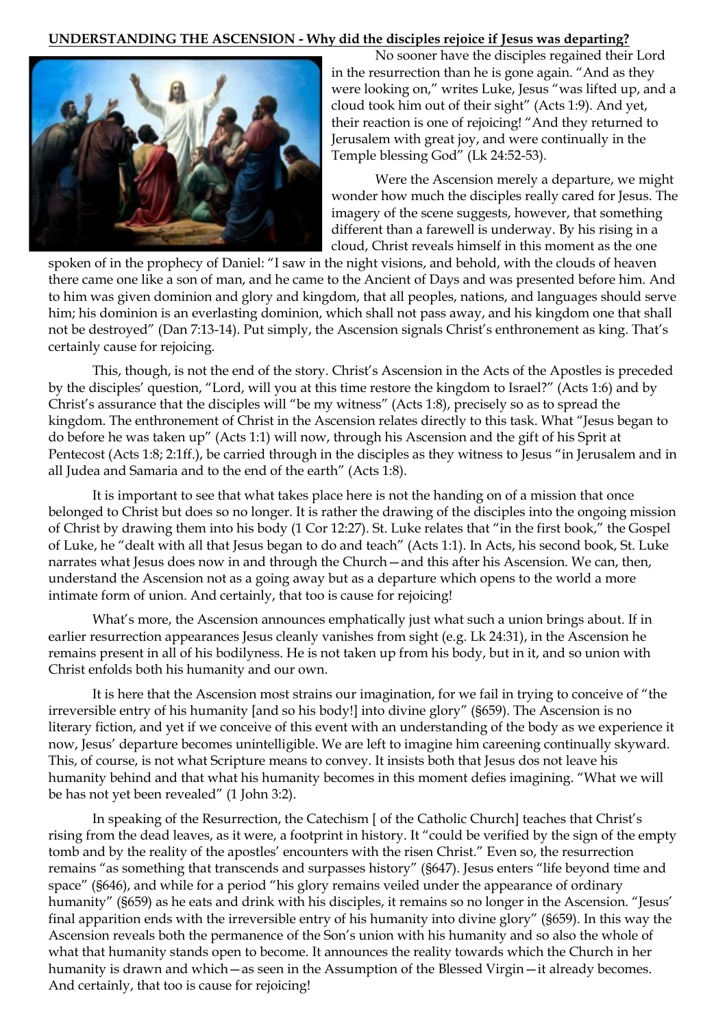### **UNDERSTANDING THE ASCENSION - Why did the disciples rejoice if Jesus was departing?**



No sooner have the disciples regained their Lord in the resurrection than he is gone again. "And as they were looking on," writes Luke, Jesus "was lifted up, and a cloud took him out of their sight" (Acts 1:9). And yet, their reaction is one of rejoicing! "And they returned to Jerusalem with great joy, and were continually in the Temple blessing God" (Lk 24:52-53).

Were the Ascension merely a departure, we might wonder how much the disciples really cared for Jesus. The imagery of the scene suggests, however, that something different than a farewell is underway. By his rising in a cloud, Christ reveals himself in this moment as the one

spoken of in the prophecy of Daniel: "I saw in the night visions, and behold, with the clouds of heaven there came one like a son of man, and he came to the Ancient of Days and was presented before him. And to him was given dominion and glory and kingdom, that all peoples, nations, and languages should serve him; his dominion is an everlasting dominion, which shall not pass away, and his kingdom one that shall not be destroyed" (Dan 7:13-14). Put simply, the Ascension signals Christ's enthronement as king. That's certainly cause for rejoicing.

This, though, is not the end of the story. Christ's Ascension in the Acts of the Apostles is preceded by the disciples' question, "Lord, will you at this time restore the kingdom to Israel?" (Acts 1:6) and by Christ's assurance that the disciples will "be my witness" (Acts 1:8), precisely so as to spread the kingdom. The enthronement of Christ in the Ascension relates directly to this task. What "Jesus began to do before he was taken up" (Acts 1:1) will now, through his Ascension and the gift of his Sprit at Pentecost (Acts 1:8; 2:1ff.), be carried through in the disciples as they witness to Jesus "in Jerusalem and in all Judea and Samaria and to the end of the earth" (Acts 1:8).

It is important to see that what takes place here is not the handing on of a mission that once belonged to Christ but does so no longer. It is rather the drawing of the disciples into the ongoing mission of Christ by drawing them into his body (1 Cor 12:27). St. Luke relates that "in the first book," the Gospel of Luke, he "dealt with all that Jesus began to do and teach" (Acts 1:1). In Acts, his second book, St. Luke narrates what Jesus does now in and through the Church—and this after his Ascension. We can, then, understand the Ascension not as a going away but as a departure which opens to the world a more intimate form of union. And certainly, that too is cause for rejoicing!

What's more, the Ascension announces emphatically just what such a union brings about. If in earlier resurrection appearances Jesus cleanly vanishes from sight (e.g. Lk 24:31), in the Ascension he remains present in all of his bodilyness. He is not taken up from his body, but in it, and so union with Christ enfolds both his humanity and our own.

It is here that the Ascension most strains our imagination, for we fail in trying to conceive of "the irreversible entry of his humanity [and so his body!] into divine glory" (§659). The Ascension is no literary fiction, and yet if we conceive of this event with an understanding of the body as we experience it now, Jesus' departure becomes unintelligible. We are left to imagine him careening continually skyward. This, of course, is not what Scripture means to convey. It insists both that Jesus dos not leave his humanity behind and that what his humanity becomes in this moment defies imagining. "What we will be has not yet been revealed" (1 John 3:2).

In speaking of the Resurrection, the Catechism [ of the Catholic Church] teaches that Christ's rising from the dead leaves, as it were, a footprint in history. It "could be verified by the sign of the empty tomb and by the reality of the apostles' encounters with the risen Christ." Even so, the resurrection remains "as something that transcends and surpasses history" (§647). Jesus enters "life beyond time and space" (§646), and while for a period "his glory remains veiled under the appearance of ordinary humanity" (§659) as he eats and drink with his disciples, it remains so no longer in the Ascension. "Jesus' final apparition ends with the irreversible entry of his humanity into divine glory" (§659). In this way the Ascension reveals both the permanence of the Son's union with his humanity and so also the whole of what that humanity stands open to become. It announces the reality towards which the Church in her humanity is drawn and which—as seen in the Assumption of the Blessed Virgin—it already becomes. And certainly, that too is cause for rejoicing!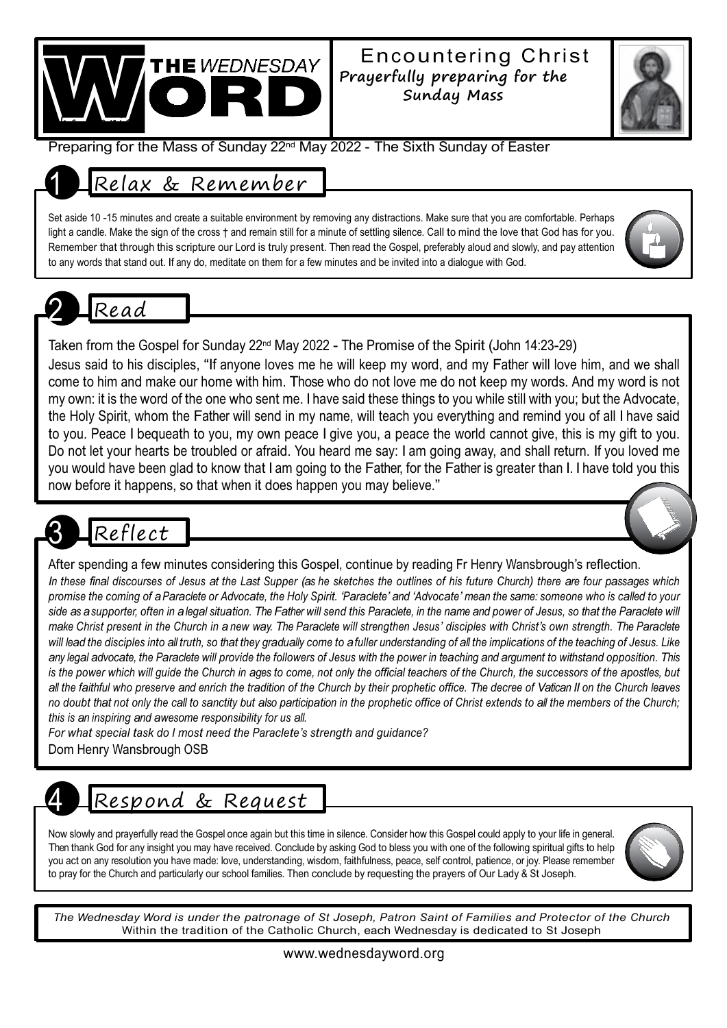

### Encountering Christ **Prayerfully preparing for the Sunday Mass**



Preparing for the Mass of Sunday 22<sup>nd</sup> May 2022 - The Sixth Sunday of Easter

### 1 Relax & Remember

Set aside 10 -15 minutes and create a suitable environment by removing any distractions. Make sure that you are comfortable. Perhaps light a candle. Make the sign of the cross † and remain still for a minute of settling silence. Call to mind the love that God has for you. Remember that through this scripture our Lord is truly present. Then read the Gospel, preferably aloud and slowly, and pay attention to any words that stand out. If any do, meditate on them for a few minutes and be invited into a dialogue with God.

## 2 Read

Taken from the Gospel for Sunday 22<sup>nd</sup> May 2022 - The Promise of the Spirit (John 14:23-29)

Jesus said to his disciples, "If anyone loves me he will keep my word, and my Father will love him, and we shall come to him and make our home with him. Those who do not love me do not keep my words. And my word is not my own: it is the word of the one who sent me. I have said these things to you while still with you; but the Advocate, the Holy Spirit, whom the Father will send in my name, will teach you everything and remind you of all I have said to you. Peace I bequeath to you, my own peace I give you, a peace the world cannot give, this is my gift to you. Do not let your hearts be troubled or afraid. You heard me say: I am going away, and shall return. If you loved me you would have been glad to know that I am going to the Father, for the Father is greater than I. I have told you this now before it happens, so that when it does happen you may believe."

# Reflect

After spending a few minutes considering this Gospel, continue by reading Fr Henry Wansbrough's reflection.

In these final discourses of Jesus at the Last Supper (as he sketches the outlines of his future Church) there are four passages which promise the coming of a Paraclete or Advocate, the Holy Spirit. 'Paraclete' and 'Advocate' mean the same: someone who is called to your side as a supporter, often in a legal situation. The Father will send this Paraclete, in the name and power of Jesus, so that the Paraclete will make Christ present in the Church in a new way. The Paraclete will strengthen Jesus' disciples with Christ's own strength. The Paraclete will lead the disciples into all truth, so that they gradually come to afuller understanding of all the implications of the teaching of Jesus. Like any legal advocate, the Paraclete will provide the followers of Jesus with the power in teaching and argument to withstand opposition. This is the power which will guide the Church in ages to come, not only the official teachers of the Church, the successors of the apostles, but all the faithful who preserve and enrich the tradition of the Church by their prophetic office. The decree of Vatican II on the Church leaves no doubt that not only the call to sanctity but also participation in the prophetic office of Christ extends to all the members of the Church: *this is an inspiring and awesome responsibility for us all.*

*For what special task do I most need the Paraclete's strength and guidance?* Dom Henry Wansbrough OSB

### 4 Respond & Request

Now slowly and prayerfully read the Gospel once again but this time in silence. Consider how this Gospel could apply to your life in general. Then thank God for any insight you may have received. Conclude by asking God to bless you with one of the following spiritual gifts to help you act on any resolution you have made: love, understanding, wisdom, faithfulness, peace, self control, patience, or joy. Please remember to pray for the Church and particularly our school families. Then conclude by requesting the prayers of Our Lady & St Joseph.



The Wednesday Word is under the patronage of St Joseph, Patron Saint of Families and Protector of the Church Within the tradition of the Catholic Church, each Wednesday is dedicated to St Joseph